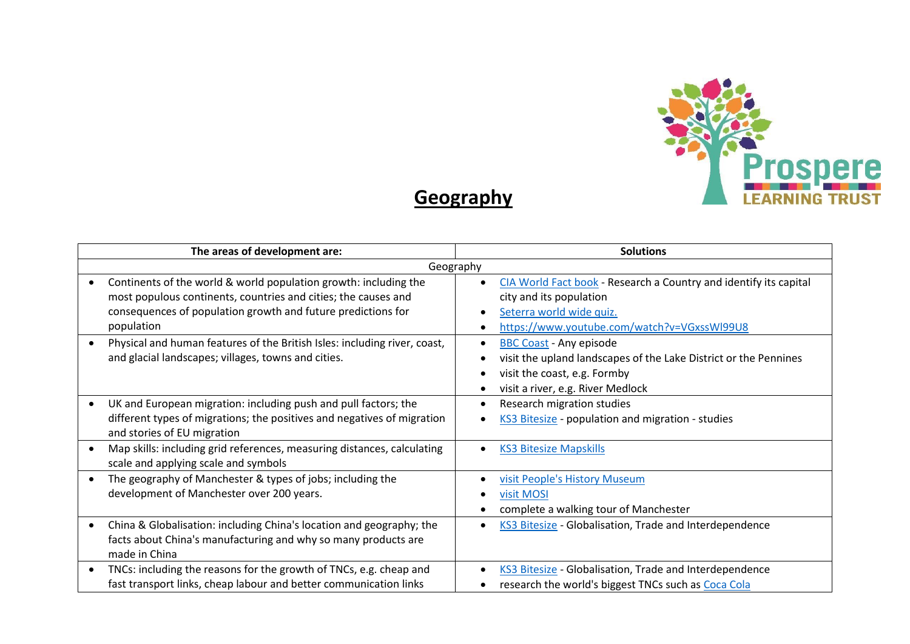

## **Geography**

|           | The areas of development are:                                                                                                                                                                                    | <b>Solutions</b>                                                                                                                                                        |  |
|-----------|------------------------------------------------------------------------------------------------------------------------------------------------------------------------------------------------------------------|-------------------------------------------------------------------------------------------------------------------------------------------------------------------------|--|
| Geography |                                                                                                                                                                                                                  |                                                                                                                                                                         |  |
|           | Continents of the world & world population growth: including the<br>most populous continents, countries and cities; the causes and<br>consequences of population growth and future predictions for<br>population | CIA World Fact book - Research a Country and identify its capital<br>city and its population<br>Seterra world wide quiz.<br>https://www.youtube.com/watch?v=VGxssWl99U8 |  |
| $\bullet$ | Physical and human features of the British Isles: including river, coast,<br>and glacial landscapes; villages, towns and cities.                                                                                 | <b>BBC Coast - Any episode</b><br>visit the upland landscapes of the Lake District or the Pennines<br>visit the coast, e.g. Formby<br>visit a river, e.g. River Medlock |  |
|           | UK and European migration: including push and pull factors; the<br>different types of migrations; the positives and negatives of migration<br>and stories of EU migration                                        | Research migration studies<br>KS3 Bitesize - population and migration - studies                                                                                         |  |
|           | Map skills: including grid references, measuring distances, calculating<br>scale and applying scale and symbols                                                                                                  | <b>KS3 Bitesize Mapskills</b>                                                                                                                                           |  |
|           | The geography of Manchester & types of jobs; including the<br>development of Manchester over 200 years.                                                                                                          | visit People's History Museum<br>visit MOSI<br>complete a walking tour of Manchester                                                                                    |  |
|           | China & Globalisation: including China's location and geography; the<br>facts about China's manufacturing and why so many products are<br>made in China                                                          | KS3 Bitesize - Globalisation, Trade and Interdependence                                                                                                                 |  |
| ٠         | TNCs: including the reasons for the growth of TNCs, e.g. cheap and<br>fast transport links, cheap labour and better communication links                                                                          | KS3 Bitesize - Globalisation, Trade and Interdependence<br>research the world's biggest TNCs such as Coca Cola                                                          |  |